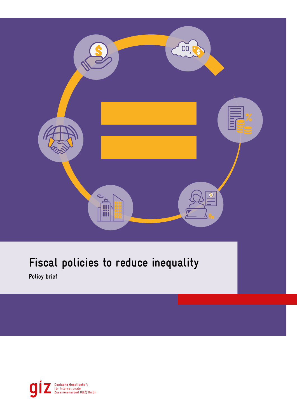

# **Fiscal policies to reduce inequality**

**Policy brief**

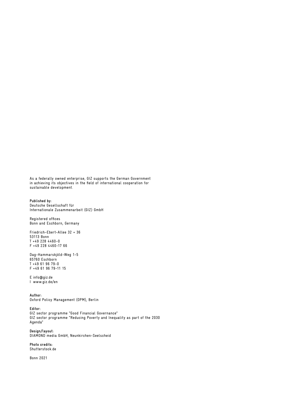As a federally owned enterprise, GIZ supports the German Government in achieving its objectives in the field of international cooperation for sustainable development.

**Published by:** Deutsche Gesellschaft für Internationale Zusammenarbeit (GIZ) GmbH

Registered offices Bonn and Eschborn, Germany

Friedrich-Ebert-Allee 32 + 36 53113 Bonn T +49 228 4460-0 F +49 228 4460-17 66

Dag-Hammarskjöld-Weg 1-5 65760 Eschborn T +49 61 96 79-0 F +49 61 96 79-11 15

E info@giz.de I www.giz.de/en

**Author:** Oxford Policy Management (OPM), Berlin

#### **Editor:**

GIZ sector programme "Good Financial Governance" GIZ sector programme "Reducing Poverty and Inequality as part of the 2030 Agenda"

**Design/layout:** DIAMOND media GmbH, Neunkirchen-Seelscheid

**Photo credits:** Shutterstock.de

Bonn 2021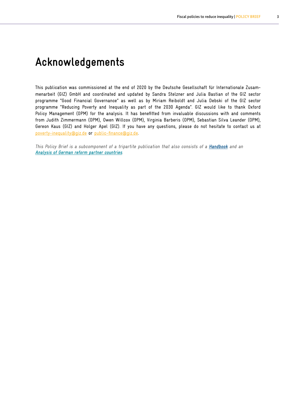## **Acknowledgements**

This publication was commissioned at the end of 2020 by the Deutsche Gesellschaft für Internationale Zusammenarbeit (GIZ) GmbH and coordinated and updated by Sandra Stelzner and Julia Bastian of the GIZ sector programme "Good Financial Governance" as well as by Miriam Reiboldt and Julia Debski of the GIZ sector programme "Reducing Poverty and Inequality as part of the 2030 Agenda". GIZ would like to thank Oxford Policy Management (OPM) for the analysis. It has benefitted from invaluable discussions with and comments from Judith Zimmermann (OPM), Owen Willcox (OPM), Virginia Barberis (OPM), Sebastian Silva Leander (OPM), Gereon Kaus (GIZ) and Holger Apel (GIZ). If you have any questions, please do not hesitate to contact us at [poverty-inequality@giz.de](mailto:poverty-inequality%40giz.de?subject=) or [public-finance@giz.de.](mailto:public-finance%40giz.de?subject=)

This Policy Brief is a subcomponent of a tripartite publication that also consists of a **Handbook** and an **Analysis of German reform partner countries**.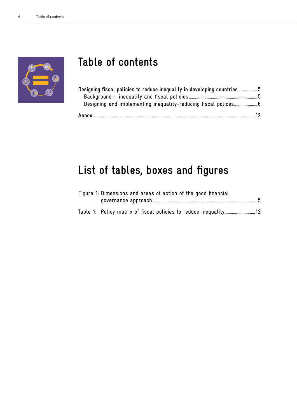

## **Table of contents**

| Designing fiscal policies to reduce inequality in developing countries5 |  |
|-------------------------------------------------------------------------|--|
|                                                                         |  |
|                                                                         |  |
|                                                                         |  |

# **List of tables, boxes and figures**

| Figure 1: Dimensions and areas of action of the good financial |  |
|----------------------------------------------------------------|--|
|                                                                |  |
|                                                                |  |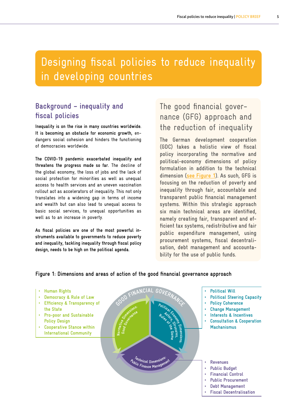## <span id="page-4-0"></span>Designing fiscal policies to reduce inequality in developing countries

### **Background – inequality and fiscal policies**

**Inequality is on the rise in many countries worldwide. It is becoming an obstacle for economic growth,** endangers social cohesion and hinders the functioning of democracies worldwide.

**The COVID-19 pandemic exacerbated inequality and threatens the progress made so far.** The decline of the global economy, the loss of jobs and the lack of social protection for minorities as well as unequal access to health services and an uneven vaccination rollout act as accelerators of inequality. This not only translates into a widening gap in terms of income and wealth but can also lead to unequal access to basic social services, to unequal opportunities as well as to an increase in poverty.

**As fiscal policies are one of the most powerful instruments available to governments to reduce poverty and inequality, tackling inequality through fiscal policy design, needs to be high on the political agenda.** 

### The good financial governance (GFG) approach and the reduction of inequality

**The German development cooperation (GDC) takes a holistic view of fiscal policy incorporating the normative and political-economy dimensions of policy formulation in addition to the technical dimension (see Figure 1). As such, GFG is focusing on the reduction of poverty and inequality through fair, accountable and transparent public financial management systems. Within this strategic approach six main technical areas are identified, namely creating fair, transparent and efficient tax systems, redistributive and fair public expenditure management, using procurement systems, fiscal decentralisation, debt management and accountability for the use of public funds.**

### **Figure 1: Dimensions and areas of action of the good financial governance approach**

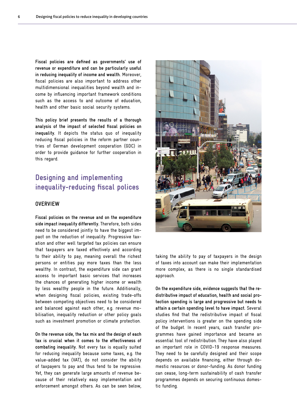<span id="page-5-0"></span>**Fiscal policies are defined as governments' use of revenue or expenditure and can be particularly useful in reducing inequality of income and wealth.** Moreover, fiscal policies are also important to address other multidimensional inequalities beyond wealth and income by influencing important framework conditions such as the access to and outcome of education, health and other basic social security systems.

**This policy brief presents the results of a thorough analysis of the impact of selected fiscal policies on inequality.** It depicts the status quo of inequality reducing fiscal policies in the reform partner countries of German development cooperation (GDC) in order to provide guidance for further cooperation in this regard.

### **Designing and implementing inequality-reducing fiscal polices**

#### **OVERVIEW**

**Fiscal policies on the revenue and on the expenditure side impact inequality differently.** Therefore, both sides need to be considered jointly to have the biggest impact on the reduction of inequality. Progressive taxation and other well targeted tax policies can ensure that taxpayers are taxed effectively and according to their ability to pay, meaning overall the richest persons or entities pay more taxes than the less wealthy. In contrast, the expenditure side can grant access to important basic services that increases the chances of generating higher income or wealth by less wealthy people in the future. Additionally, when designing fiscal policies, existing trade-offs between competing objectives need to be considered and balanced against each other, e.g. revenue mobilisation, inequality reduction or other policy goals such as investment promotion or climate protection.

**On the revenue side, the tax mix and the design of each tax is crucial when it comes to the effectiveness of combating inequality.** Not every tax is equally suited for reducing inequality because some taxes, e.g. the value-added tax (VAT), do not consider the ability of taxpayers to pay and thus tend to be regressive. Yet, they can generate large amounts of revenue because of their relatively easy implementation and enforcement amongst others. As can be seen below,



taking the ability to pay of taxpayers in the design of taxes into account can make their implementation more complex, as there is no single standardised approach.

**On the expenditure side, evidence suggests that the redistributive impact of education, health and social protection spending is large and progressive but needs to attain a certain spending level to have impact.** Several studies find that the redistributive impact of fiscal policy interventions is greater on the spending side of the budget. In recent years, cash transfer programmes have gained importance and became an essential tool of redistribution. They have also played an important role in COVID-19 response measures. They need to be carefully designed and their scope depends on available financing, either through domestic resources or donor-funding. As donor funding can cease, long-term sustainability of cash transfer programmes depends on securing continuous domestic funding.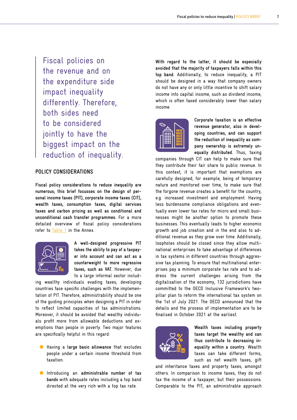Fiscal policies on the revenue and on the expenditure side impact inequality differently. Therefore, both sides need to be considered jointly to have the biggest impact on the reduction of inequality.

#### **POLICY CONSIDERATIONS**

**Fiscal policy considerations to reduce inequality are numerous; this brief focusses on the design of personal income taxes (PIT), corporate income taxes (CIT), wealth taxes, consumption taxes, digital services taxes and carbon pricing as well as conditional and unconditional cash transfer programmes.** For a more detailed overview of fiscal policy considerations refer to [Table 1](#page-11-1) in the Annex.



**A well-designed progressive PIT takes the ability to pay of a taxpayer into account and can act as a counterweight to more regressive taxes, such as VAT.** However, due to a large informal sector includ-

ing wealthy individuals evading taxes, developing countries face specific challenges with the implementation of PIT. Therefore, administrability should be one of the guiding principles when designing a PIT in order to reflect limited capacities of tax administrations. Moreover, it should be avoided that wealthy individuals profit more from allowable deductions and exemptions than people in poverty. Two major features are specifically helpful in this regard:

- Having a **large basic allowance** that excludes people under a certain income threshold from taxation.
- Introducing an **administrable number of tax bands** with adequate rates including a top band directed at the very rich with a top tax rate.

**With regard to the latter, it should be especially avoided that the majority of taxpayers falls within this top band.** Additionally, to reduce inequality, a PIT should be designed in a way that company owners do not have any or only little incentive to shift salary income into capital income, such as dividend income, which is often taxed considerably lower than salary income.



**Corporate taxation is an effective revenue generator, also in developing countries, and can support the reduction of inequality as company ownership is extremely unequally distributed.** Thus, taxing

companies through CIT can help to make sure that they contribute their fair share to public revenue. In this context, it is important that exemptions are carefully designed, for example, being of temporary nature and monitored over time, to make sure that the forgone revenue creates a benefit for the country, e.g. increased investment and employment. Having less burdensome compliance obligations and eventually even lower tax rates for micro and small businesses might be another option to promote these businesses. This eventually leads to higher economic growth and job creation and in the end also to additional revenue as they grow over time. Additionally, loopholes should be closed since they allow multinational enterprises to take advantage of differences in tax systems in different countries through aggressive tax planning. To ensure that multinational enterprises pay a minimum corporate tax rate and to address the current challenges arising from the digitalisation of the economy, 132 jurisdictions have committed to the OECD Inclusive Framework's twopillar plan to reform the international tax system on the 1st of July 2021. The OECD announced that the details and the process of implementation are to be finalised in October 2021 at the earliest.



**Wealth taxes including property taxes target the wealthy and can thus contribute to decreasing inequality within a country.** Wealth taxes can take different forms, such as net wealth taxes, gift

and inheritance taxes and property taxes, amongst others. In comparison to income taxes, they do not tax the income of a taxpayer, but their possessions. Comparable to the PIT, an administrable approach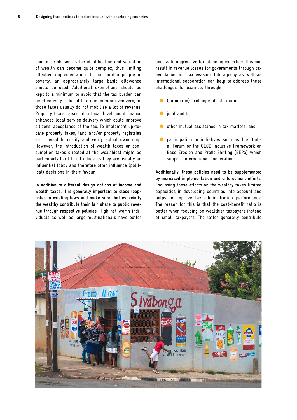should be chosen as the identification and valuation of wealth can become quite complex, thus limiting effective implementation. To not burden people in poverty, an appropriately large basic allowance should be used. Additional exemptions should be kept to a minimum to avoid that the tax burden can be effectively reduced to a minimum or even zero, as those taxes usually do not mobilise a lot of revenue. Property taxes raised at a local level could finance enhanced local service delivery which could improve citizens' acceptance of the tax. To implement up-todate property taxes, land and/or property registries are needed to certify and verify actual ownership. However, the introduction of wealth taxes or consumption taxes directed at the wealthiest might be particularly hard to introduce as they are usually an influential lobby and therefore often influence (political) decisions in their favour.

**In addition to different design options of income and wealth taxes, it is generally important to close loopholes in existing laws and make sure that especially the wealthy contribute their fair share to public revenue through respective policies.** High net-worth individuals as well as large multinationals have better access to aggressive tax planning expertise. This can result in revenue losses for governments through tax avoidance and tax evasion. Interagency as well as international cooperation can help to address these challenges, for example through:

- (automatic) exchange of information,
- joint audits,
- other mutual assistance in tax matters, and
- participation in initiatives such as the Global Forum or the OECD Inclusive Framework on Base Erosion and Profit Shifting (BEPS) which support international cooperation.

**Additionally, these policies need to be supplemented by increased implementation and enforcement efforts.** Focussing these efforts on the wealthy takes limited capacities in developing countries into account and helps to improve tax administration performance. The reason for this is that the cost-benefit ratio is better when focusing on wealthier taxpayers instead of small taxpayers. The latter generally contribute

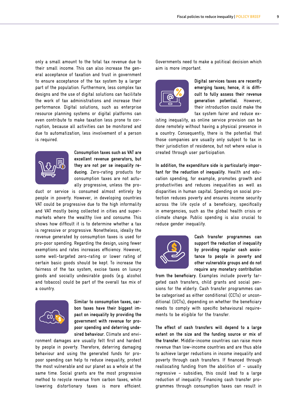only a small amount to the total tax revenue due to their small income. This can also increase the general acceptance of taxation and trust in government to ensure acceptance of the tax system by a larger part of the population. Furthermore, less complex tax designs and the use of digital solutions can facilitate the work of tax administrations and increase their performance. Digital solutions, such as enterprise resource planning systems or digital platforms can even contribute to make taxation less prone to corruption, because all activities can be monitored and due to automatization, less involvement of a person is required.



**Consumption taxes such as VAT are excellent revenue generators, but they are not per se inequality reducing.** Zero-rating products for consumption taxes are not actually progressive, unless the pro-

duct or service is consumed almost entirely by people in poverty. However, in developing countries VAT could be progressive due to the high informality and VAT mostly being collected in cities and supermarkets where the wealthy live and consume. This shows how difficult it is to determine whether a tax is regressive or progressive. Nonetheless, ideally the revenue generated by consumption taxes is used for pro-poor spending. Regarding the design, using fewer exemptions and rates increases efficiency. However, some well-targeted zero-rating or lower rating of certain basic goods should be kept. To increase the fairness of the tax system, excise taxes on luxury goods and socially undesirable goods (e.g. alcohol and tobacco) could be part of the overall tax mix of a country.



**Similar to consumption taxes, carbon taxes have their biggest impact on inequality by providing the government with revenue for propoor spending and deterring undesired behaviour.** Climate and envi-

ronment damages are usually felt first and hardest by people in poverty. Therefore, deterring damaging behaviour and using the generated funds for propoor spending can help to reduce inequality, protect the most vulnerable and our planet as a whole at the same time. Social grants are the most progressive method to recycle revenue from carbon taxes, while lowering distortionary taxes is more efficient. Governments need to make a political decision which aim is more important.



**Digital services taxes are recently emerging taxes; hence, it is difficult to fully assess their revenue generation potential.** However, their introduction could make the tax system fairer and reduce ex-

isting inequality, as online service provision can be done remotely without having a physical presence in a country. Consequently, there is the potential that those companies are usually only subject to tax in their jurisdiction of residence, but not where value is created through user participation.

**In addition, the expenditure side is particularly important for the reduction of inequality.** Health and education spending, for example, promotes growth and productivities and reduces inequalities as well as disparities in human capital. Spending on social protection reduces poverty and ensures income security across the life cycle of a beneficiary, specifically in emergencies, such as the global health crisis or climate change. Public spending is also crucial to reduce gender inequality.



**Cash transfer programmes can support the reduction of inequality by providing regular cash assistance to people in poverty and other vulnerable groups and do not require any monetary contribution** 

**from the beneficiary.** Examples include poverty targeted cash transfers, child grants and social pensions for the elderly. Cash transfer programmes can be categorised as either conditional (CCTs) or unconditional (UCTs), depending on whether the beneficiary needs to comply with specific behavioural requirements to be eligible for the transfer.

**The effect of cash transfers will depend to a large extent on the size and the funding source or mix of the transfer.** Middle-income countries can raise more revenue than low-income countries and are thus able to achieve larger reductions in income inequality and poverty through cash transfers. If financed through reallocating funding from the abolition of – usually regressive – subsidies, this could lead to a large reduction of inequality. Financing cash transfer programmes through consumption taxes can result in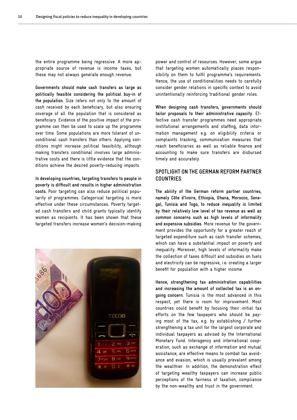the entire programme being regressive. A more appropriate source of revenue is income taxes, but these may not always generate enough revenue.

**Governments should make cash transfers as large as politically feasible considering the political buy-in of the population.** Size refers not only to the amount of cash received by each beneficiary, but also ensuring coverage of all the population that is considered as beneficiary. Evidence of the positive impact of the programme can then be used to scale up the programme over time. Some populations are more tolerant of unconditional cash transfers than others. Applying conditions might increase political feasibility, although making transfers conditional involves large administrative costs and there is little evidence that the conditions achieve the desired poverty-reducing impacts.

**In developing countries, targeting transfers to people in poverty is difficult and results in higher administration costs.** Poor targeting can also reduce political popularity of programmes. Categorical targeting is more effective under these circumstances. Poverty targeted cash transfers and child grants typically identify women as recipients. It has been shown that these targeted transfers increase women's decision-making



power and control of resources. However, some argue that targeting women automatically places responsibility on them to fulfil programme's requirements. Hence, the use of conditionalities needs to carefully consider gender relations in specific context to avoid unintentionally reinforcing traditional gender roles.

**When designing cash transfers, governments should tailor proposals to their administrative capacity.** Effective cash transfer programmes need appropriate institutional arrangements and staffing, data information management e.g. on eligibility criteria or complaints tracking, communication measures that reach beneficiaries as well as reliable finance and accounting to make sure transfers are disbursed timely and accurately.

#### **SPOTLIGHT ON THE GERMAN REFORM PARTNER COUNTRIES**

**The ability of the German reform partner countries, namely Côte d'Ivoire, Ethiopia, Ghana, Morocco, Senegal, Tunisia and Togo, to reduce inequality is limited by their relatively low level of tax revenue as well as common concerns such as high levels of informality and expensive subsidies.** More revenue for the government provides the opportunity for a greater reach of targeted expenditure such as cash transfer schemes, which can have a substantial impact on poverty and inequality. Moreover, high levels of informality make the collection of taxes difficult and subsidies on fuels and electricity can be regressive, i.e. creating a larger benefit for population with a higher income.

**Hence, strengthening tax administration capabilities and increasing the amount of collected tax is an ongoing concern.** Tunisia is the most advanced in this respect, yet there is room for improvement. Most countries could benefit by focusing their initial tax efforts on the few taxpayers who should be paying most of the tax, e.g. by establishing / further strengthening a tax unit for the largest corporate and individual taxpayers as advised by the International Monetary Fund. Interagency and international cooperation, such as exchange of information and mutual assistance, are effective means to combat tax avoidance and evasion, which is usually prevalent among the wealthier. In addition, the demonstration effect of targeting wealthy taxpayers can increase public perceptions of the fairness of taxation, compliance by the non-wealthy and trust in the government.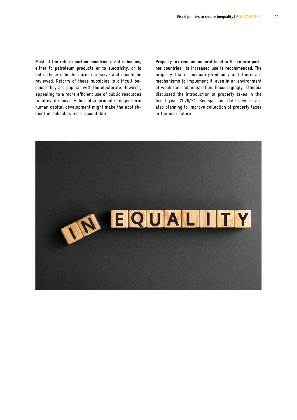**Most of the reform partner countries grant subsidies, either to petroleum products or to electricity, or to both.** These subsidies are regressive and should be reviewed. Reform of these subsidies is difficult because they are popular with the electorate. However, appealing to a more efficient use of public resources to alleviate poverty but also promote longer-term human capital development might make the abolishment of subsidies more acceptable.

**Property tax remains underutilised in the reform partner countries; its increased use is recommended.** The property tax is inequality-reducing and there are mechanisms to implement it, even in an environment of weak land administration. Encouragingly, Ethiopia discussed the introduction of property taxes in the fiscal year 2020/21. Senegal and Cote d'Ivoire are also planning to improve collection of property taxes in the near future.

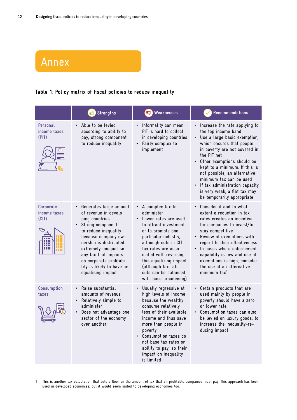## <span id="page-11-0"></span>Annex

### <span id="page-11-1"></span>**Table 1: Policy matrix of fiscal policies to reduce inequality**

|                                    | <sup>1</sup> Strengths                                                                                                                                                                                                                                                                        | <b>R</b> Weaknesses                                                                                                                                                                                                                                                                                                | Recommendations                                                                                                                                                                                                                                                                                                                                                                               |
|------------------------------------|-----------------------------------------------------------------------------------------------------------------------------------------------------------------------------------------------------------------------------------------------------------------------------------------------|--------------------------------------------------------------------------------------------------------------------------------------------------------------------------------------------------------------------------------------------------------------------------------------------------------------------|-----------------------------------------------------------------------------------------------------------------------------------------------------------------------------------------------------------------------------------------------------------------------------------------------------------------------------------------------------------------------------------------------|
| Personal<br>income taxes<br>(PIT)  | Able to be levied<br>according to ability to<br>pay, strong component<br>to reduce inequality                                                                                                                                                                                                 | Informality can mean<br>PIT is hard to collect<br>in developing countries<br>• Fairly complex to<br>implement                                                                                                                                                                                                      | Increase the rate applying to<br>the top income band<br>Use a large basic exemption,<br>which ensures that people<br>in poverty are not covered in<br>the PIT net<br>• Other exemptions should be<br>kept to a minimum. If this is<br>not possible, an alternative<br>minimum tax can be used<br>If tax administration capacity<br>is very weak, a flat tax may<br>be temporarily appropriate |
| Corporate<br>income taxes<br>(CIT) | Generates large amount<br>of revenue in develo-<br>ping countries<br>• Strong component<br>to reduce inequality<br>because company ow-<br>nership is distributed<br>extremely unequal so<br>any tax that impacts<br>on corporate profitabi-<br>lity is likely to have an<br>equalising impact | A complex tax to<br>$\bullet$<br>administer<br>Lower rates are used<br>to attract investment<br>or to promote one<br>particular industry,<br>although cuts in CIT<br>tax rates are asso-<br>ciated with reversing<br>this equalizing impact<br>(although tax rate<br>cuts can be balanced<br>with base broadening) | Consider if and to what<br>extent a reduction in tax<br>rates creates an incentive<br>for companies to invest/to<br>stay competitive<br>Review of exemptions with<br>regard to their effectiveness<br>In cases where enforcement<br>capability is low and use of<br>exemptions is high, consider<br>the use of an alternative<br>minimum tax <sup>1</sup>                                     |
| Consumption<br>taxes               | Raise substantial<br>amounts of revenue<br>• Relatively simple to<br>administer<br>Does not advantage one<br>sector of the economy<br>over another                                                                                                                                            | Usually regressive at<br>high levels of income<br>because the wealthy<br>consume relatively<br>less of their available<br>income and thus save<br>more than people in<br>poverty<br>• Consumption taxes do<br>not base tax rates on<br>ability to pay, so their<br>impact on inequality<br>is limited              | Certain products that are<br>used mainly by people in<br>poverty should have a zero<br>or lower rate<br>Consumption taxes can also<br>be levied on luxury goods, to<br>increase the inequality-re-<br>ducing impact                                                                                                                                                                           |

<sup>1</sup> This is another tax calculation that sets a floor on the amount of tax that all profitable companies must pay. This approach has been used in developed economies, but it would seem suited to developing economies too.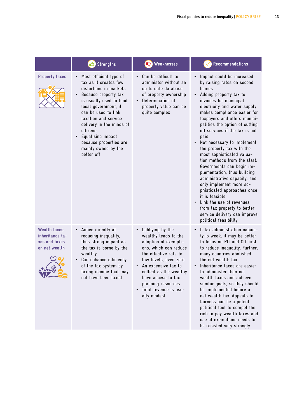|                                                                           | $\bigcirc$ Strengths                                                                                                                                                                                                                                                                                                                                                   | <b>R</b> Weaknesses                                                                                                                                                                                                                                                             | Recommendations                                                                                                                                                                                                                                                                                                                                                                                                                                                                                                                                                                                                                                                                                                     |
|---------------------------------------------------------------------------|------------------------------------------------------------------------------------------------------------------------------------------------------------------------------------------------------------------------------------------------------------------------------------------------------------------------------------------------------------------------|---------------------------------------------------------------------------------------------------------------------------------------------------------------------------------------------------------------------------------------------------------------------------------|---------------------------------------------------------------------------------------------------------------------------------------------------------------------------------------------------------------------------------------------------------------------------------------------------------------------------------------------------------------------------------------------------------------------------------------------------------------------------------------------------------------------------------------------------------------------------------------------------------------------------------------------------------------------------------------------------------------------|
| <b>Property taxes</b>                                                     | Most efficient type of<br>$\bullet$<br>tax as it creates few<br>distortions in markets<br>Because property tax<br>$\bullet$<br>is usually used to fund<br>local government, it<br>can be used to link<br>taxation and service<br>delivery in the minds of<br>citizens<br>Equalising impact<br>$\bullet$<br>because properties are<br>mainly owned by the<br>better off | Can be difficult to<br>administer without an<br>up to date database<br>of property ownership<br>Determination of<br>property value can be<br>quite complex                                                                                                                      | Impact could be increased<br>by raising rates on second<br>homes<br>Adding property tax to<br>invoices for municipal<br>electricity and water supply<br>makes compliance easier for<br>taxpayers and offers munici-<br>palities the option of cutting<br>off services if the tax is not<br>paid<br>Not necessary to implement<br>the property tax with the<br>most sophisticated valua-<br>tion methods from the start.<br>Governments can begin im-<br>plementation, thus building<br>administrative capacity, and<br>only implement more so-<br>phisticated approaches once<br>it is feasible<br>Link the use of revenues<br>from tax property to better<br>service delivery can improve<br>political feasibility |
| <b>Wealth taxes:</b><br>inheritance ta-<br>xes and taxes<br>on net wealth | Aimed directly at<br>$\bullet$<br>reducing inequality,<br>thus strong impact as<br>the tax is borne by the<br>wealthy<br>Can enhance efficiency<br>$\bullet$<br>of the tax system by<br>taxing income that may<br>not have been taxed                                                                                                                                  | Lobbying by the<br>wealthy leads to the<br>adoption of exempti-<br>ons, which can reduce<br>the effective rate to<br>low levels, even zero<br>An expensive tax to<br>collect as the wealthy<br>have access to tax<br>planning resources<br>Total revenue is usu-<br>ally modest | If tax administration capaci-<br>ty is weak, it may be better<br>to focus on PIT and CIT first<br>to reduce inequality. Further,<br>many countries abolished<br>the net wealth tax<br>Inheritance taxes are easier<br>to administer than net<br>wealth taxes and achieve<br>similar goals, so they should<br>be implemented before a<br>net wealth tax. Appeals to<br>fairness can be a potent<br>political tool to compel the<br>rich to pay wealth taxes and<br>use of exemptions needs to<br>be resisted very strongly                                                                                                                                                                                           |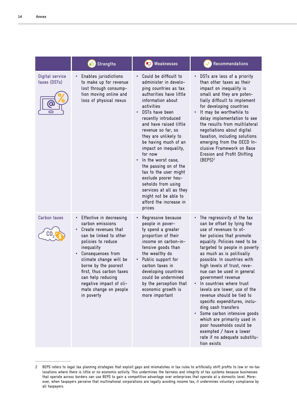|                                 | <b>B</b> Strengths                                                                                                                                                                                                                                                                                                                                 | <b>R</b> Weaknesses                                                                                                                                                                                                                                                                                                                                                                                                                                                                                                            | Recommendations                                                                                                                                                                                                                                                                                                                                                                                                                                                                                                                                                                                                                                                        |
|---------------------------------|----------------------------------------------------------------------------------------------------------------------------------------------------------------------------------------------------------------------------------------------------------------------------------------------------------------------------------------------------|--------------------------------------------------------------------------------------------------------------------------------------------------------------------------------------------------------------------------------------------------------------------------------------------------------------------------------------------------------------------------------------------------------------------------------------------------------------------------------------------------------------------------------|------------------------------------------------------------------------------------------------------------------------------------------------------------------------------------------------------------------------------------------------------------------------------------------------------------------------------------------------------------------------------------------------------------------------------------------------------------------------------------------------------------------------------------------------------------------------------------------------------------------------------------------------------------------------|
| Digital service<br>taxes (DSTs) | Enables jurisdictions<br>to make up for revenue<br>lost through consump-<br>tion moving online and<br>loss of physical nexus                                                                                                                                                                                                                       | Could be difficult to<br>administer in develo-<br>ping countries as tax<br>authorities have little<br>information about<br>activities<br>DSTs have been<br>recently introduced<br>and have raised little<br>revenue so far, so<br>they are unlikely to<br>be having much of an<br>impact on inequality,<br>for now<br>In the worst case,<br>the passing on of the<br>tax to the user might<br>exclude poorer hou-<br>seholds from using<br>services at all as they<br>might not be able to<br>afford the increase in<br>prices | DSTs are less of a priority<br>than other taxes as their<br>impact on inequality is<br>small and they are poten-<br>tially difficult to implement<br>for developing countries<br>It may be worthwhile to<br>$\bullet$<br>delay implementation to see<br>the results from multilateral<br>negotiations about digital<br>taxation, including solutions<br>emerging from the OECD In-<br>clusive Framework on Base<br>Erosion and Profit Shifting<br>$(BEPS)^2$                                                                                                                                                                                                           |
| <b>Carbon taxes</b><br>CO       | Effective in decreasing<br>٠<br>carbon emissions<br>Create revenues that<br>$\bullet$<br>can be linked to other<br>policies to reduce<br>inequality<br>Consequences from<br>٠<br>climate change will be<br>borne by the poorest<br>first, thus carbon taxes<br>can help reducing<br>negative impact of cli-<br>mate change on people<br>in poverty | Regressive because<br>people in pover-<br>ty spend a greater<br>proportion of their<br>income on carbon-in-<br>tensive goods than<br>the wealthy do<br>Public support for<br>carbon taxes in<br>developing countries<br>could be undermined<br>by the perception that<br>economic growth is<br>more important                                                                                                                                                                                                                  | The regressivity of the tax<br>$\bullet$<br>can be offset by tying the<br>use of revenues to ot-<br>her policies that promote<br>equality. Policies need to be<br>targeted to people in poverty<br>as much as is politically<br>possible. In countries with<br>high levels of trust, reve-<br>nue can be used in general<br>government revenue<br>In countries where trust<br>levels are lower, use of the<br>revenue should be tied to<br>specific expenditures, inclu-<br>ding cash transfers<br>• Some carbon intensive goods<br>which are primarily used in<br>poor households could be<br>exempted / have a lower<br>rate if no adequate substitu-<br>tion exists |

<sup>2</sup> BEPS refers to legal tax planning strategies that exploit gaps and mismatches in tax rules to artificially shift profits to low or no-tax locations where there is little or no economic activity. This undermines the fairness and integrity of tax systems because businesses that operate across borders can use BEPS to gain a competitive advantage over enterprises that operate at a domestic level. Moreover, when taxpayers perceive that multinational corporations are legally avoiding income tax, it undermines voluntary compliance by all taxpayers.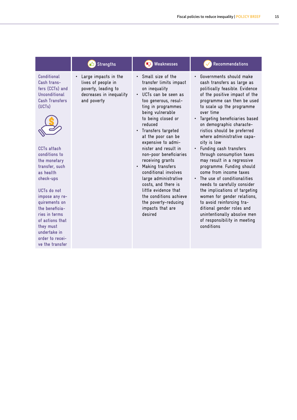|                                                                                                                                                                                                                                                                                                                                                                                        | <sup>1</sup> Strengths                                                                                                   | <b>R</b> Weaknesses                                                                                                                                                                                                                                                                                                                                                                                                                                                                                                                                                                    | Recommendations                                                                                                                                                                                                                                                                                                                                                                                                                                                                                                                                                                                                                                                                                                                                                         |
|----------------------------------------------------------------------------------------------------------------------------------------------------------------------------------------------------------------------------------------------------------------------------------------------------------------------------------------------------------------------------------------|--------------------------------------------------------------------------------------------------------------------------|----------------------------------------------------------------------------------------------------------------------------------------------------------------------------------------------------------------------------------------------------------------------------------------------------------------------------------------------------------------------------------------------------------------------------------------------------------------------------------------------------------------------------------------------------------------------------------------|-------------------------------------------------------------------------------------------------------------------------------------------------------------------------------------------------------------------------------------------------------------------------------------------------------------------------------------------------------------------------------------------------------------------------------------------------------------------------------------------------------------------------------------------------------------------------------------------------------------------------------------------------------------------------------------------------------------------------------------------------------------------------|
| <b>Conditional</b><br>Cash trans-<br>fers (CCTs) and<br>Unconditional<br><b>Cash Transfers</b><br>(UCTs)<br><b>CCTs attach</b><br>conditions to<br>the monetary<br>transfer, such<br>as health<br>check-ups<br>UCTs do not<br>impose any re-<br>quirements on<br>the beneficia-<br>ries in terms<br>of actions that<br>they must<br>undertake in<br>order to recei-<br>ve the transfer | Large impacts in the<br>$\bullet$<br>lives of people in<br>poverty, leading to<br>decreases in inequality<br>and poverty | Small size of the<br>$\bullet$<br>transfer limits impact<br>on inequality<br>UCTs can be seen as<br>$\bullet$<br>too generous, resul-<br>ting in programmes<br>being vulnerable<br>to being closed or<br>reduced<br>Transfers targeted<br>$\bullet$<br>at the poor can be<br>expensive to admi-<br>nister and result in<br>non-poor beneficiaries<br>receiving grants<br>Making transfers<br>$\bullet$<br>conditional involves<br>large administrative<br>costs, and there is<br>little evidence that<br>the conditions achieve<br>the poverty-reducing<br>impacts that are<br>desired | Governments should make<br>cash transfers as large as<br>politically feasible. Evidence<br>of the positive impact of the<br>programme can then be used<br>to scale up the programme<br>over time<br>Targeting beneficiaries based<br>$\bullet$<br>on demographic characte-<br>ristics should be preferred<br>where administrative capa-<br>city is low<br>Funding cash transfers<br>through consumption taxes<br>may result in a regressive<br>programme. Funding should<br>come from income taxes<br>The use of conditionalities<br>needs to carefully consider<br>the implications of targeting<br>women for gender relations,<br>to avoid reinforcing tra-<br>ditional gender roles and<br>unintentionally absolve men<br>of responsibility in meeting<br>conditions |